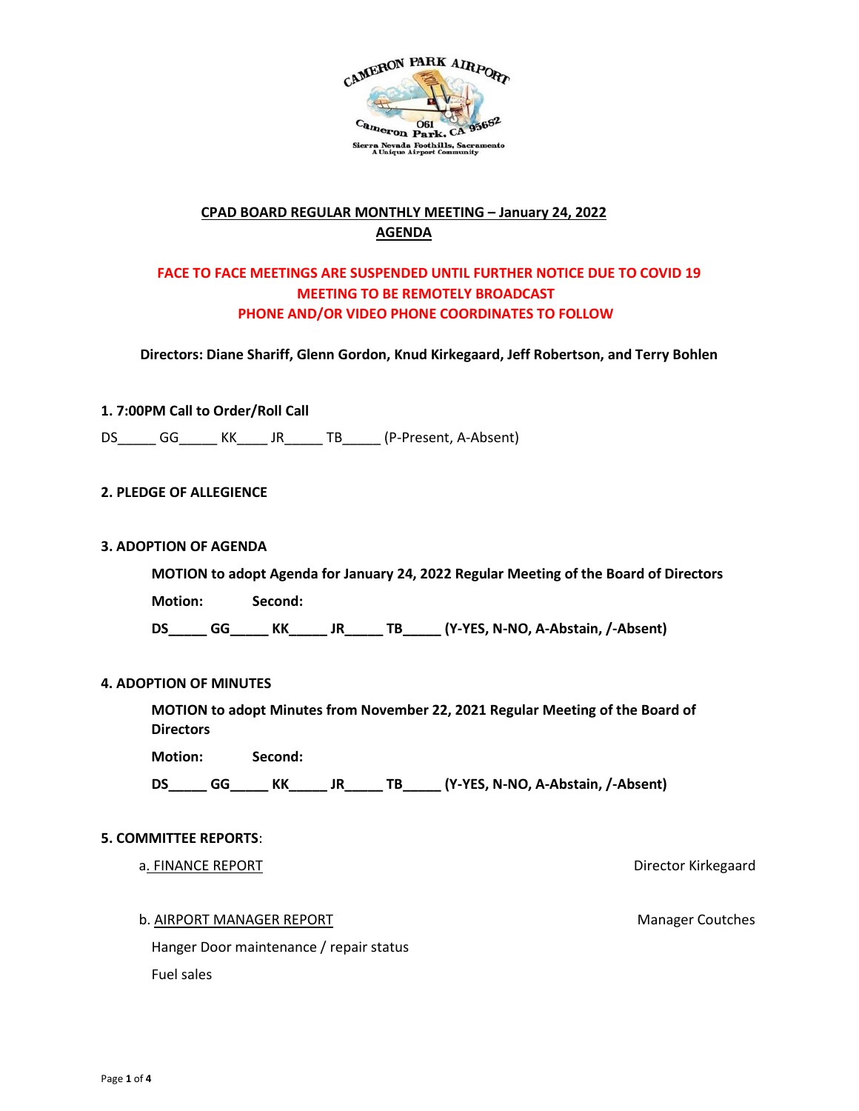

# **CPAD BOARD REGULAR MONTHLY MEETING – January 24, 2022 AGENDA**

# **FACE TO FACE MEETINGS ARE SUSPENDED UNTIL FURTHER NOTICE DUE TO COVID 19 MEETING TO BE REMOTELY BROADCAST PHONE AND/OR VIDEO PHONE COORDINATES TO FOLLOW**

**Directors: Diane Shariff, Glenn Gordon, Knud Kirkegaard, Jeff Robertson, and Terry Bohlen**

## **1. 7:00PM Call to Order/Roll Call**

DS\_\_\_\_\_\_ GG\_\_\_\_\_\_ KK\_\_\_\_\_ JR\_\_\_\_\_\_ TB\_\_\_\_\_\_ (P-Present, A-Absent)

## **2. PLEDGE OF ALLEGIENCE**

#### **3. ADOPTION OF AGENDA**

**MOTION to adopt Agenda for January 24, 2022 Regular Meeting of the Board of Directors** 

**Motion: Second:** 

**DS\_\_\_\_\_ GG\_\_\_\_\_ KK\_\_\_\_\_ JR\_\_\_\_\_ TB\_\_\_\_\_ (Y-YES, N-NO, A-Abstain, /-Absent)** 

#### **4. ADOPTION OF MINUTES**

**MOTION to adopt Minutes from November 22, 2021 Regular Meeting of the Board of Directors** 

**Motion: Second:** 

**DS\_\_\_\_\_ GG\_\_\_\_\_ KK\_\_\_\_\_ JR\_\_\_\_\_ TB\_\_\_\_\_ (Y-YES, N-NO, A-Abstain, /-Absent)** 

#### **5. COMMITTEE REPORTS**:

#### a. FINANCE REPORT **EXECUTE:** The state of the state of the state of the state of the Director Kirkegaard

b. AIRPORT MANAGER REPORT Manager Coutches

Hanger Door maintenance / repair status Fuel sales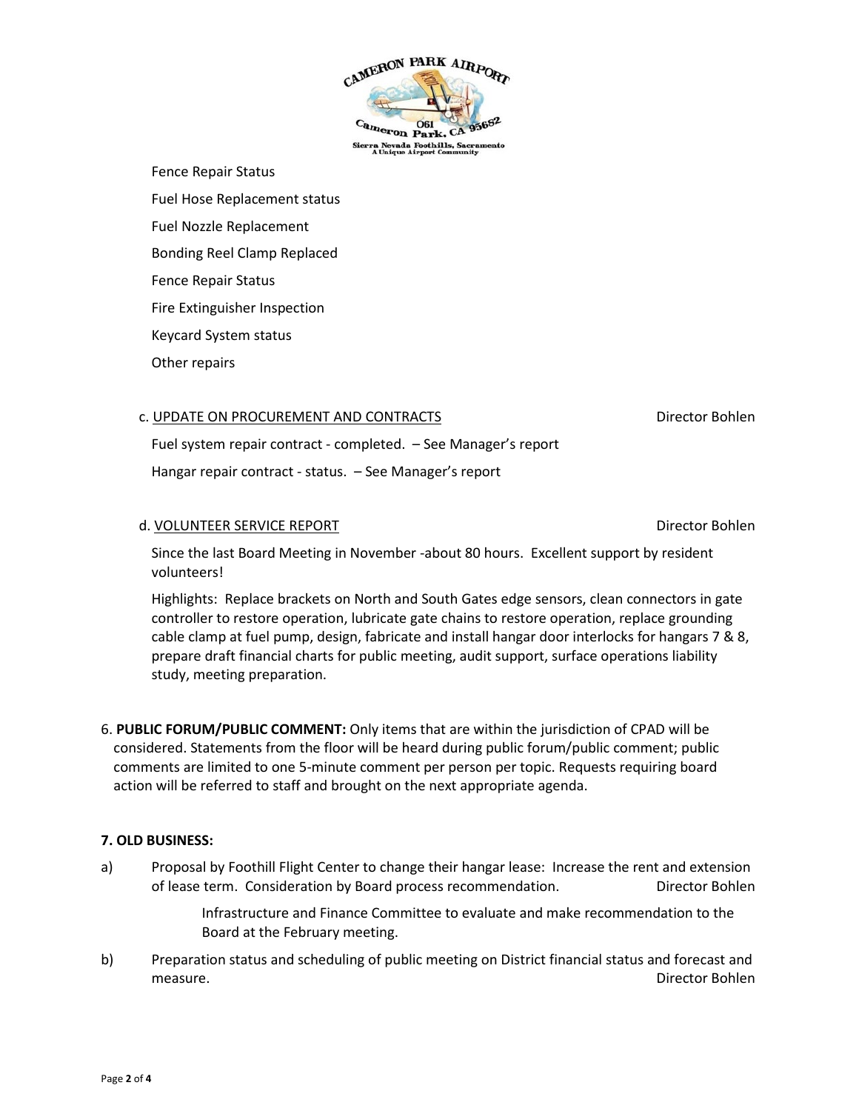

Fence Repair Status Fuel Hose Replacement status Fuel Nozzle Replacement Bonding Reel Clamp Replaced Fence Repair Status Fire Extinguisher Inspection Keycard System status Other repairs

#### c. UPDATE ON PROCUREMENT AND CONTRACTS EXAMPLE THE SUPPORT OF Director Bohlen

Fuel system repair contract - completed. – See Manager's report Hangar repair contract - status. – See Manager's report

#### d. VOLUNTEER SERVICE REPORT DIRECTOR DIRECTOR DIRECTOR DIRECTOR BOHLEN

Since the last Board Meeting in November -about 80 hours. Excellent support by resident volunteers!

Highlights: Replace brackets on North and South Gates edge sensors, clean connectors in gate controller to restore operation, lubricate gate chains to restore operation, replace grounding cable clamp at fuel pump, design, fabricate and install hangar door interlocks for hangars 7 & 8, prepare draft financial charts for public meeting, audit support, surface operations liability study, meeting preparation.

6. **PUBLIC FORUM/PUBLIC COMMENT:** Only items that are within the jurisdiction of CPAD will be considered. Statements from the floor will be heard during public forum/public comment; public comments are limited to one 5-minute comment per person per topic. Requests requiring board action will be referred to staff and brought on the next appropriate agenda.

## **7. OLD BUSINESS:**

a) Proposal by Foothill Flight Center to change their hangar lease: Increase the rent and extension of lease term. Consideration by Board process recommendation. Director Bohlen

> Infrastructure and Finance Committee to evaluate and make recommendation to the Board at the February meeting.

b) Preparation status and scheduling of public meeting on District financial status and forecast and measure. Director Bohlen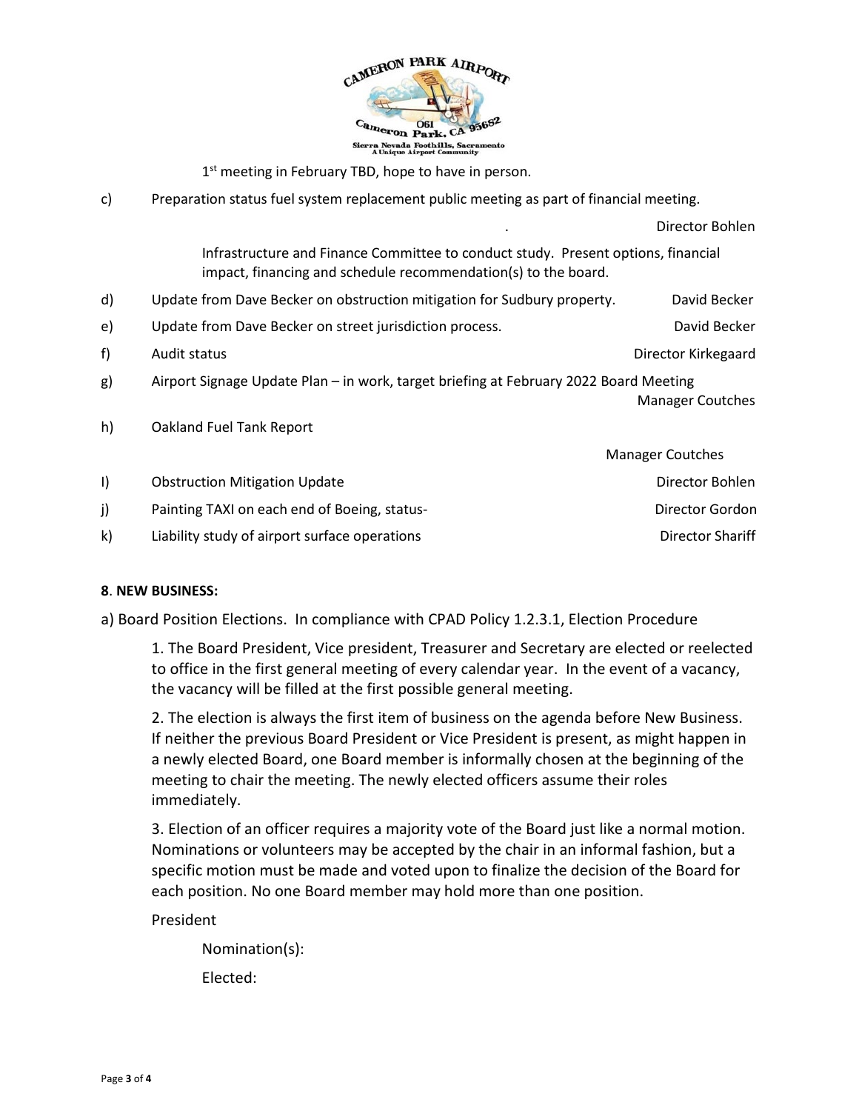

 $1<sup>st</sup>$  meeting in February TBD, hope to have in person.

c) Preparation status fuel system replacement public meeting as part of financial meeting.

|              |                                                                                                                                                     | Director Bohlen         |
|--------------|-----------------------------------------------------------------------------------------------------------------------------------------------------|-------------------------|
|              | Infrastructure and Finance Committee to conduct study. Present options, financial<br>impact, financing and schedule recommendation(s) to the board. |                         |
| d)           | Update from Dave Becker on obstruction mitigation for Sudbury property.                                                                             | David Becker            |
| e)           | Update from Dave Becker on street jurisdiction process.                                                                                             | David Becker            |
| f)           | Audit status                                                                                                                                        | Director Kirkegaard     |
| g)           | Airport Signage Update Plan - in work, target briefing at February 2022 Board Meeting                                                               | Manager Coutches        |
| h)           | Oakland Fuel Tank Report                                                                                                                            |                         |
|              |                                                                                                                                                     | <b>Manager Coutches</b> |
| $\vert$      | <b>Obstruction Mitigation Update</b>                                                                                                                | Director Bohlen         |
| j)           | Painting TAXI on each end of Boeing, status-                                                                                                        | Director Gordon         |
| $\mathsf{k}$ | Liability study of airport surface operations                                                                                                       | Director Shariff        |

## **8**. **NEW BUSINESS:**

a) Board Position Elections. In compliance with CPAD Policy 1.2.3.1, Election Procedure

1. The Board President, Vice president, Treasurer and Secretary are elected or reelected to office in the first general meeting of every calendar year. In the event of a vacancy, the vacancy will be filled at the first possible general meeting.

2. The election is always the first item of business on the agenda before New Business. If neither the previous Board President or Vice President is present, as might happen in a newly elected Board, one Board member is informally chosen at the beginning of the meeting to chair the meeting. The newly elected officers assume their roles immediately.

3. Election of an officer requires a majority vote of the Board just like a normal motion. Nominations or volunteers may be accepted by the chair in an informal fashion, but a specific motion must be made and voted upon to finalize the decision of the Board for each position. No one Board member may hold more than one position.

President

Nomination(s): Elected: